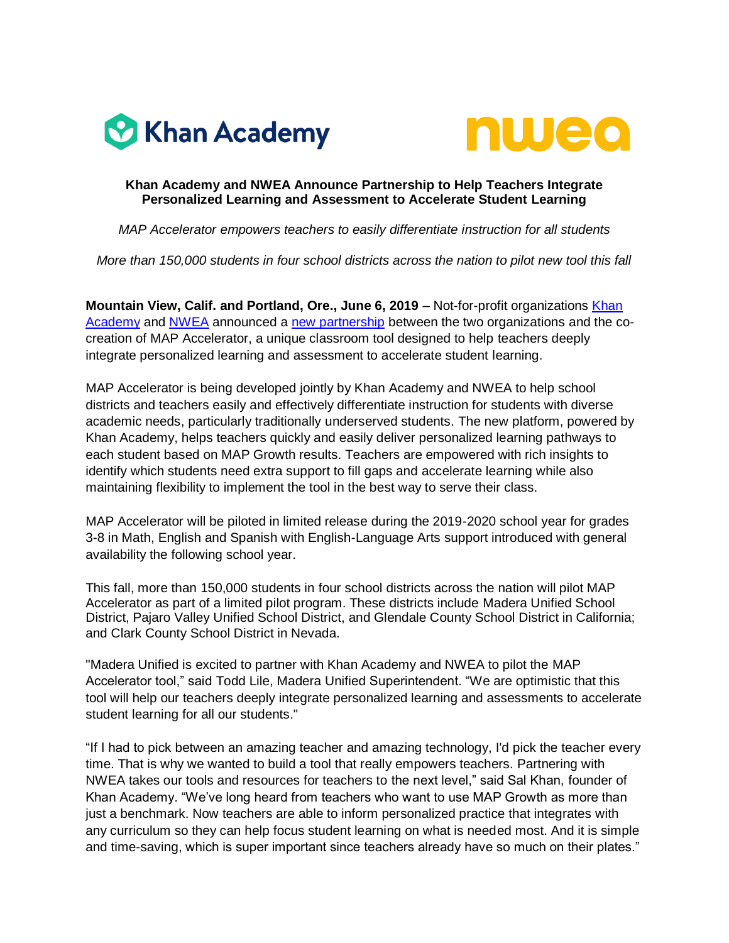



## **Khan Academy and NWEA Announce Partnership to Help Teachers Integrate Personalized Learning and Assessment to Accelerate Student Learning**

*MAP Accelerator empowers teachers to easily differentiate instruction for all students* 

*More than 150,000 students in four school districts across the nation to pilot new tool this fall*

**Mountain View, Calif. and Portland, Ore., June 6, 2019** – Not-for-profit organizations Khan [Academy](http://www.khanacademy.org/) and [NWEA](http://www.nwea.org/) announced a [new partnership](http://www.nwea.org/khan-partnership) between the two organizations and the cocreation of MAP Accelerator, a unique classroom tool designed to help teachers deeply integrate personalized learning and assessment to accelerate student learning.

MAP Accelerator is being developed jointly by Khan Academy and NWEA to help school districts and teachers easily and effectively differentiate instruction for students with diverse academic needs, particularly traditionally underserved students. The new platform, powered by Khan Academy, helps teachers quickly and easily deliver personalized learning pathways to each student based on MAP Growth results. Teachers are empowered with rich insights to identify which students need extra support to fill gaps and accelerate learning while also maintaining flexibility to implement the tool in the best way to serve their class.

MAP Accelerator will be piloted in limited release during the 2019-2020 school year for grades 3-8 in Math, English and Spanish with English-Language Arts support introduced with general availability the following school year.

This fall, more than 150,000 students in four school districts across the nation will pilot MAP Accelerator as part of a limited pilot program. These districts include Madera Unified School District, Pajaro Valley Unified School District, and Glendale County School District in California; and Clark County School District in Nevada.

"Madera Unified is excited to partner with Khan Academy and NWEA to pilot the MAP Accelerator tool," said Todd Lile, Madera Unified Superintendent. "We are optimistic that this tool will help our teachers deeply integrate personalized learning and assessments to accelerate student learning for all our students."

"If I had to pick between an amazing teacher and amazing technology, I'd pick the teacher every time. That is why we wanted to build a tool that really empowers teachers*.* Partnering with NWEA takes our tools and resources for teachers to the next level," said Sal Khan, founder of Khan Academy. "We've long heard from teachers who want to use MAP Growth as more than just a benchmark. Now teachers are able to inform personalized practice that integrates with any curriculum so they can help focus student learning on what is needed most. And it is simple and time-saving, which is super important since teachers already have so much on their plates."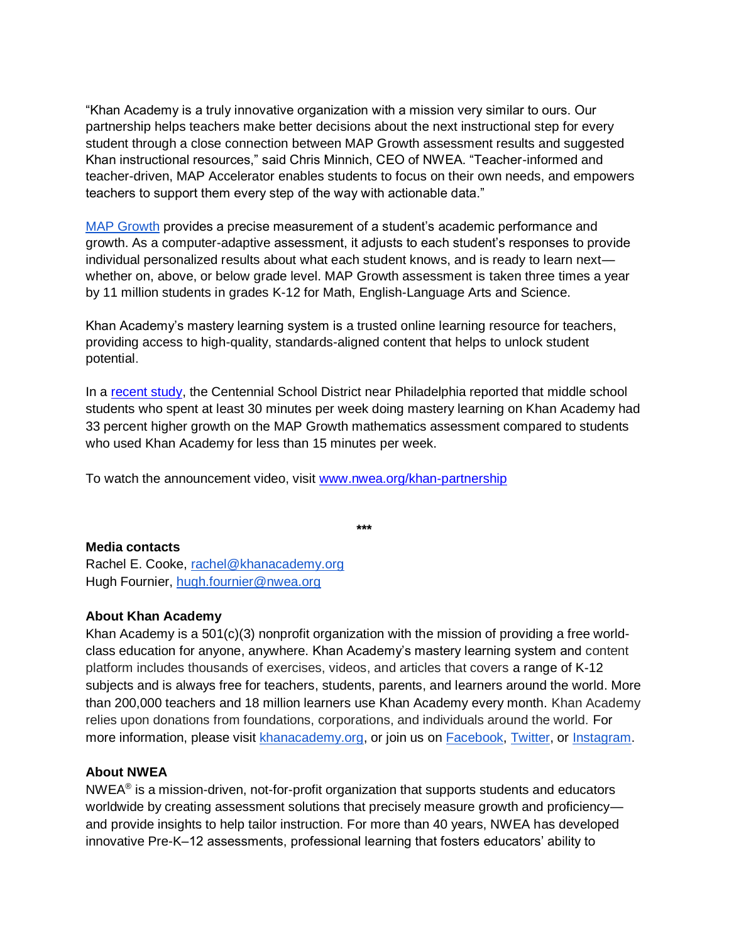"Khan Academy is a truly innovative organization with a mission very similar to ours. Our partnership helps teachers make better decisions about the next instructional step for every student through a close connection between MAP Growth assessment results and suggested Khan instructional resources," said Chris Minnich, CEO of NWEA. "Teacher-informed and teacher-driven, MAP Accelerator enables students to focus on their own needs, and empowers teachers to support them every step of the way with actionable data."

[MAP Growth](https://www.nwea.org/map-growth/) provides a precise measurement of a student's academic performance and growth. As a computer-adaptive assessment, it adjusts to each student's responses to provide individual personalized results about what each student knows, and is ready to learn next whether on, above, or below grade level. MAP Growth assessment is taken three times a year by 11 million students in grades K-12 for Math, English-Language Arts and Science.

Khan Academy's mastery learning system is a trusted online learning resource for teachers, providing access to high-quality, standards-aligned content that helps to unlock student potential.

In a [recent study,](https://docs.google.com/document/d/1Z4sufy2kJJef01_af6kQkyM5Mp8MvIhpxn8bLhywCu4/edit?usp=sharing) the Centennial School District near Philadelphia reported that middle school students who spent at least 30 minutes per week doing mastery learning on Khan Academy had 33 percent higher growth on the MAP Growth mathematics assessment compared to students who used Khan Academy for less than 15 minutes per week.

**\*\*\***

To watch the announcement video, visit [www.nwea.org/khan-partnership](http://www.nwea.org/khan-partnership)

## **Media contacts**

Rachel E. Cooke, [rachel@khanacademy.org](mailto:rachel@khanacademy.org) Hugh Fournier, [hugh.fournier@nwea.org](mailto:hugh.fournier@nwea.org)

## **About Khan Academy**

Khan Academy is a  $501(c)(3)$  nonprofit organization with the mission of providing a free worldclass education for anyone, anywhere. Khan Academy's mastery learning system and content platform includes thousands of exercises, videos, and articles that covers a range of K-12 subjects and is always free for teachers, students, parents, and learners around the world. More than 200,000 teachers and 18 million learners use Khan Academy every month. Khan Academy relies upon donations from foundations, corporations, and individuals around the world. For more information, please visit [khanacademy.org,](http://www.khanacademy.org/) or join us on [Facebook,](https://www.facebook.com/khanacademy/) [Twitter,](https://twitter.com/KhanAcademy) or [Instagram.](https://www.instagram.com/khanacademy/)

## **About NWEA**

 $NWEA<sup>®</sup>$  is a mission-driven, not-for-profit organization that supports students and educators worldwide by creating assessment solutions that precisely measure growth and proficiency and provide insights to help tailor instruction. For more than 40 years, NWEA has developed innovative Pre-K–12 assessments, professional learning that fosters educators' ability to